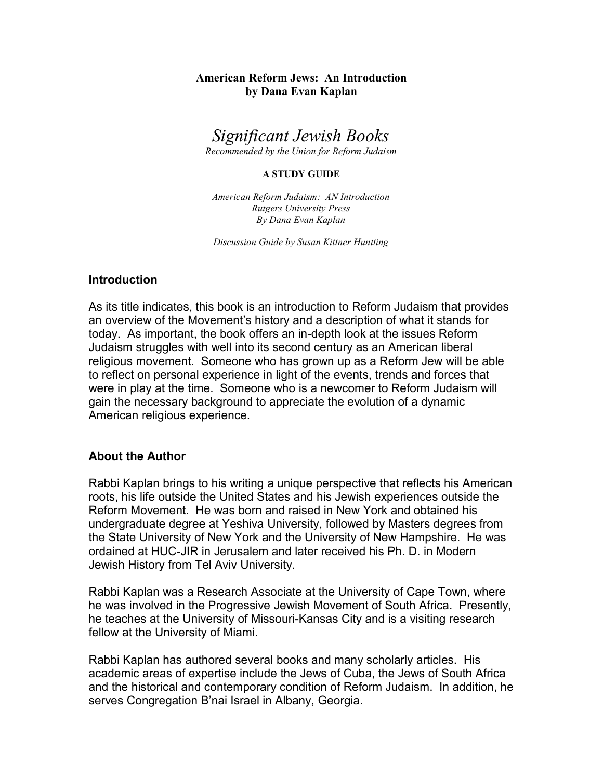## American Reform Jews: An Introduction by Dana Evan Kaplan

Significant Jewish Books

Recommended by the Union for Reform Judaism

#### A STUDY GUIDE

American Reform Judaism: AN Introduction Rutgers University Press By Dana Evan Kaplan

Discussion Guide by Susan Kittner Huntting

### Introduction

As its title indicates, this book is an introduction to Reform Judaism that provides an overview of the Movement's history and a description of what it stands for today. As important, the book offers an in-depth look at the issues Reform Judaism struggles with well into its second century as an American liberal religious movement. Someone who has grown up as a Reform Jew will be able to reflect on personal experience in light of the events, trends and forces that were in play at the time. Someone who is a newcomer to Reform Judaism will gain the necessary background to appreciate the evolution of a dynamic American religious experience.

### About the Author

Rabbi Kaplan brings to his writing a unique perspective that reflects his American roots, his life outside the United States and his Jewish experiences outside the Reform Movement. He was born and raised in New York and obtained his undergraduate degree at Yeshiva University, followed by Masters degrees from the State University of New York and the University of New Hampshire. He was ordained at HUC-JIR in Jerusalem and later received his Ph. D. in Modern Jewish History from Tel Aviv University.

Rabbi Kaplan was a Research Associate at the University of Cape Town, where he was involved in the Progressive Jewish Movement of South Africa. Presently, he teaches at the University of Missouri-Kansas City and is a visiting research fellow at the University of Miami.

Rabbi Kaplan has authored several books and many scholarly articles. His academic areas of expertise include the Jews of Cuba, the Jews of South Africa and the historical and contemporary condition of Reform Judaism. In addition, he serves Congregation B'nai Israel in Albany, Georgia.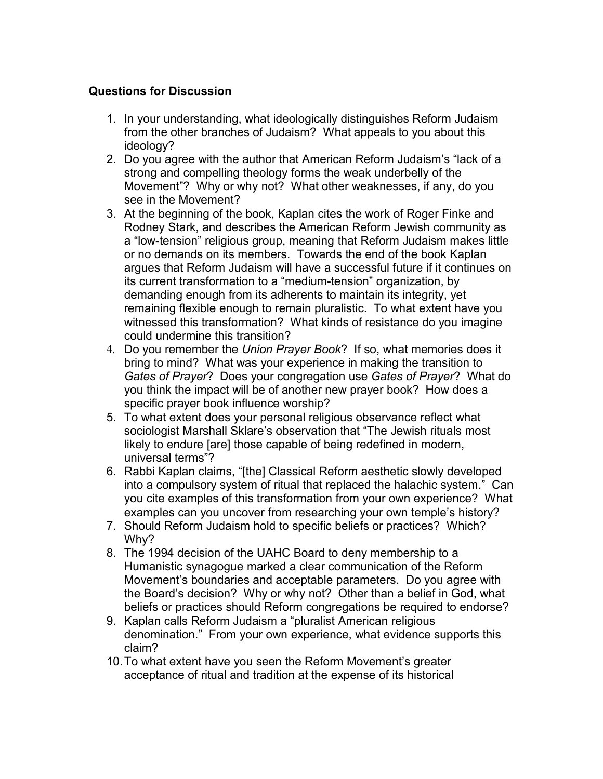# Questions for Discussion

- 1. In your understanding, what ideologically distinguishes Reform Judaism from the other branches of Judaism? What appeals to you about this ideology?
- 2. Do you agree with the author that American Reform Judaism's "lack of a strong and compelling theology forms the weak underbelly of the Movement"? Why or why not? What other weaknesses, if any, do you see in the Movement?
- 3. At the beginning of the book, Kaplan cites the work of Roger Finke and Rodney Stark, and describes the American Reform Jewish community as a "low-tension" religious group, meaning that Reform Judaism makes little or no demands on its members. Towards the end of the book Kaplan argues that Reform Judaism will have a successful future if it continues on its current transformation to a "medium-tension" organization, by demanding enough from its adherents to maintain its integrity, yet remaining flexible enough to remain pluralistic. To what extent have you witnessed this transformation? What kinds of resistance do you imagine could undermine this transition?
- 4. Do you remember the Union Prayer Book? If so, what memories does it bring to mind? What was your experience in making the transition to Gates of Prayer? Does your congregation use Gates of Prayer? What do you think the impact will be of another new prayer book? How does a specific prayer book influence worship?
- 5. To what extent does your personal religious observance reflect what sociologist Marshall Sklare's observation that "The Jewish rituals most likely to endure [are] those capable of being redefined in modern, universal terms"?
- 6. Rabbi Kaplan claims, "[the] Classical Reform aesthetic slowly developed into a compulsory system of ritual that replaced the halachic system." Can you cite examples of this transformation from your own experience? What examples can you uncover from researching your own temple's history?
- 7. Should Reform Judaism hold to specific beliefs or practices? Which? Why?
- 8. The 1994 decision of the UAHC Board to deny membership to a Humanistic synagogue marked a clear communication of the Reform Movement's boundaries and acceptable parameters. Do you agree with the Board's decision? Why or why not? Other than a belief in God, what beliefs or practices should Reform congregations be required to endorse?
- 9. Kaplan calls Reform Judaism a "pluralist American religious denomination." From your own experience, what evidence supports this claim?
- 10.To what extent have you seen the Reform Movement's greater acceptance of ritual and tradition at the expense of its historical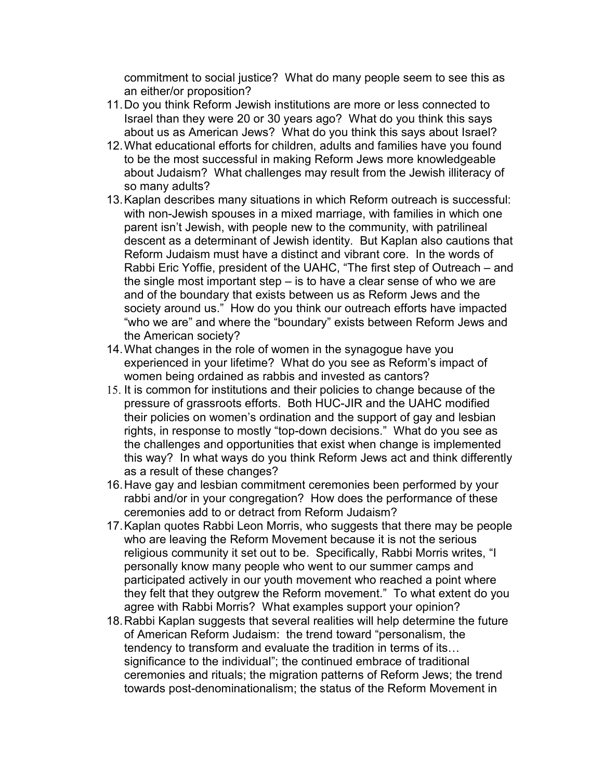commitment to social justice? What do many people seem to see this as an either/or proposition?

- 11.Do you think Reform Jewish institutions are more or less connected to Israel than they were 20 or 30 years ago? What do you think this says about us as American Jews? What do you think this says about Israel?
- 12.What educational efforts for children, adults and families have you found to be the most successful in making Reform Jews more knowledgeable about Judaism? What challenges may result from the Jewish illiteracy of so many adults?
- 13.Kaplan describes many situations in which Reform outreach is successful: with non-Jewish spouses in a mixed marriage, with families in which one parent isn't Jewish, with people new to the community, with patrilineal descent as a determinant of Jewish identity. But Kaplan also cautions that Reform Judaism must have a distinct and vibrant core. In the words of Rabbi Eric Yoffie, president of the UAHC, "The first step of Outreach – and the single most important step – is to have a clear sense of who we are and of the boundary that exists between us as Reform Jews and the society around us." How do you think our outreach efforts have impacted "who we are" and where the "boundary" exists between Reform Jews and the American society?
- 14.What changes in the role of women in the synagogue have you experienced in your lifetime? What do you see as Reform's impact of women being ordained as rabbis and invested as cantors?
- 15. It is common for institutions and their policies to change because of the pressure of grassroots efforts. Both HUC-JIR and the UAHC modified their policies on women's ordination and the support of gay and lesbian rights, in response to mostly "top-down decisions." What do you see as the challenges and opportunities that exist when change is implemented this way? In what ways do you think Reform Jews act and think differently as a result of these changes?
- 16.Have gay and lesbian commitment ceremonies been performed by your rabbi and/or in your congregation? How does the performance of these ceremonies add to or detract from Reform Judaism?
- 17.Kaplan quotes Rabbi Leon Morris, who suggests that there may be people who are leaving the Reform Movement because it is not the serious religious community it set out to be. Specifically, Rabbi Morris writes, "I personally know many people who went to our summer camps and participated actively in our youth movement who reached a point where they felt that they outgrew the Reform movement." To what extent do you agree with Rabbi Morris? What examples support your opinion?
- 18.Rabbi Kaplan suggests that several realities will help determine the future of American Reform Judaism: the trend toward "personalism, the tendency to transform and evaluate the tradition in terms of its… significance to the individual"; the continued embrace of traditional ceremonies and rituals; the migration patterns of Reform Jews; the trend towards post-denominationalism; the status of the Reform Movement in